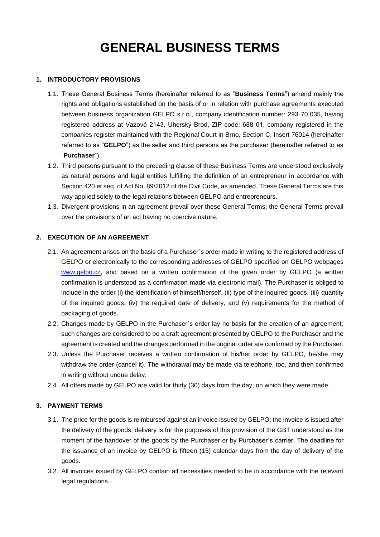# **GENERAL BUSINESS TERMS**

## **1. INTRODUCTORY PROVISIONS**

- 1.1. These General Business Terms (hereinafter referred to as "**Business Terms**") amend mainly the rights and obligations established on the basis of or in relation with purchase agreements executed between business organization GELPO s.r.o., company identification number: 293 70 035, having registered address at Vazová 2143, Uherský Brod, ZIP code: 688 01, company registered in the companies register maintained with the Regional Court in Brno, Section C, Insert 76014 (hereinafter referred to as "**GELPO**") as the seller and third persons as the purchaser (hereinafter referred to as "**Purchaser**").
- 1.2. Third persons pursuant to the preceding clause of these Business Terms are understood exclusively as natural persons and legal entities fulfilling the definition of an entrepreneur in accordance with Section 420 et seq. of Act No. 89/2012 of the Civil Code, as amended. These General Terms are this way applied solely to the legal relations between GELPO and entrepreneurs.
- 1.3. Divergent provisions in an agreement prevail over these General Terms; the General Terms prevail over the provisions of an act having no coercive nature.

## **2. EXECUTION OF AN AGREEMENT**

- 2.1. An agreement arises on the basis of a Purchaser´s order made in writing to the registered address of GELPO or electronically to the corresponding addresses of GELPO specified on GELPO webpages [www.gelpo.cz,](http://www.gelpo.cz/) and based on a written confirmation of the given order by GELPO (a written confirmation is understood as a confirmation made via electronic mail). The Purchaser is obliged to include in the order (i) the identification of himself/herself, (ii) type of the inquired goods, (iii) quantity of the inquired goods, (iv) the required date of delivery, and (v) requirements for the method of packaging of goods.
- 2.2. Changes made by GELPO in the Purchaser´s order lay no basis for the creation of an agreement; such changes are considered to be a draft agreement presented by GELPO to the Purchaser and the agreement is created and the changes performed in the original order are confirmed by the Purchaser.
- 2.3. Unless the Purchaser receives a written confirmation of his/her order by GELPO, he/she may withdraw the order (cancel it). The withdrawal may be made via telephone, too, and then confirmed in writing without undue delay.
- 2.4. All offers made by GELPO are valid for thirty (30) days from the day, on which they were made.

# **3. PAYMENT TERMS**

- 3.1. The price for the goods is reimbursed against an invoice issued by GELPO; the invoice is issued after the delivery of the goods; delivery is for the purposes of this provision of the GBT understood as the moment of the handover of the goods by the Purchaser or by Purchaser´s carrier. The deadline for the issuance of an invoice by GELPO is fifteen (15) calendar days from the day of delivery of the goods.
- 3.2. All invoices issued by GELPO contain all necessities needed to be in accordance with the relevant legal regulations.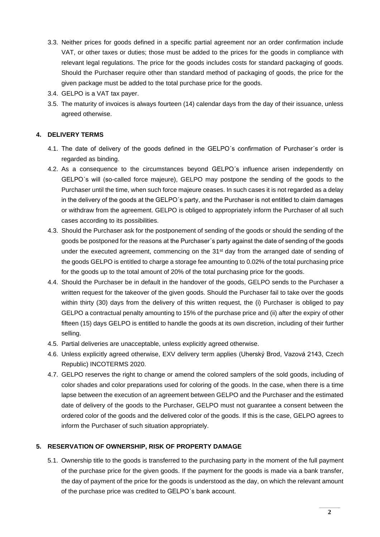- 3.3. Neither prices for goods defined in a specific partial agreement nor an order confirmation include VAT, or other taxes or duties; those must be added to the prices for the goods in compliance with relevant legal regulations. The price for the goods includes costs for standard packaging of goods. Should the Purchaser require other than standard method of packaging of goods, the price for the given package must be added to the total purchase price for the goods.
- 3.4. GELPO is a VAT tax payer.
- 3.5. The maturity of invoices is always fourteen (14) calendar days from the day of their issuance, unless agreed otherwise.

# **4. DELIVERY TERMS**

- 4.1. The date of delivery of the goods defined in the GELPO´s confirmation of Purchaser´s order is regarded as binding.
- 4.2. As a consequence to the circumstances beyond GELPO´s influence arisen independently on GELPO´s will (so-called force majeure), GELPO may postpone the sending of the goods to the Purchaser until the time, when such force majeure ceases. In such cases it is not regarded as a delay in the delivery of the goods at the GELPO´s party, and the Purchaser is not entitled to claim damages or withdraw from the agreement. GELPO is obliged to appropriately inform the Purchaser of all such cases according to its possibilities.
- 4.3. Should the Purchaser ask for the postponement of sending of the goods or should the sending of the goods be postponed for the reasons at the Purchaser´s party against the date of sending of the goods under the executed agreement, commencing on the 31<sup>st</sup> day from the arranged date of sending of the goods GELPO is entitled to charge a storage fee amounting to 0.02% of the total purchasing price for the goods up to the total amount of 20% of the total purchasing price for the goods.
- 4.4. Should the Purchaser be in default in the handover of the goods, GELPO sends to the Purchaser a written request for the takeover of the given goods. Should the Purchaser fail to take over the goods within thirty (30) days from the delivery of this written request, the (i) Purchaser is obliged to pay GELPO a contractual penalty amounting to 15% of the purchase price and (ii) after the expiry of other fifteen (15) days GELPO is entitled to handle the goods at its own discretion, including of their further selling.
- 4.5. Partial deliveries are unacceptable, unless explicitly agreed otherwise.
- 4.6. Unless explicitly agreed otherwise, EXV delivery term applies (Uherský Brod, Vazová 2143, Czech Republic) INCOTERMS 2020.
- 4.7. GELPO reserves the right to change or amend the colored samplers of the sold goods, including of color shades and color preparations used for coloring of the goods. In the case, when there is a time lapse between the execution of an agreement between GELPO and the Purchaser and the estimated date of delivery of the goods to the Purchaser, GELPO must not guarantee a consent between the ordered color of the goods and the delivered color of the goods. If this is the case, GELPO agrees to inform the Purchaser of such situation appropriately.

# **5. RESERVATION OF OWNERSHIP, RISK OF PROPERTY DAMAGE**

5.1. Ownership title to the goods is transferred to the purchasing party in the moment of the full payment of the purchase price for the given goods. If the payment for the goods is made via a bank transfer, the day of payment of the price for the goods is understood as the day, on which the relevant amount of the purchase price was credited to GELPO´s bank account.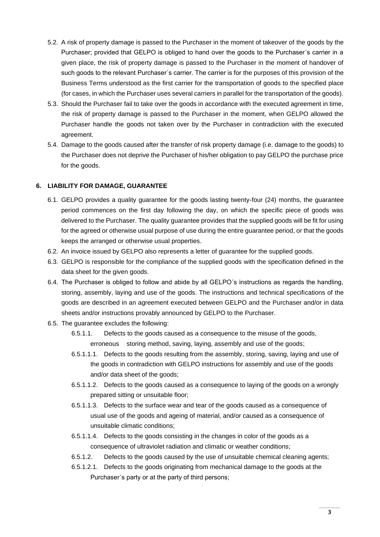- 5.2. A risk of property damage is passed to the Purchaser in the moment of takeover of the goods by the Purchaser; provided that GELPO is obliged to hand over the goods to the Purchaser´s carrier in a given place, the risk of property damage is passed to the Purchaser in the moment of handover of such goods to the relevant Purchaser´s carrier. The carrier is for the purposes of this provision of the Business Terms understood as the first carrier for the transportation of goods to the specified place (for cases, in which the Purchaser uses several carriers in parallel for the transportation of the goods).
- 5.3. Should the Purchaser fail to take over the goods in accordance with the executed agreement in time, the risk of property damage is passed to the Purchaser in the moment, when GELPO allowed the Purchaser handle the goods not taken over by the Purchaser in contradiction with the executed agreement.
- 5.4. Damage to the goods caused after the transfer of risk property damage (i.e. damage to the goods) to the Purchaser does not deprive the Purchaser of his/her obligation to pay GELPO the purchase price for the goods.

## **6. LIABILITY FOR DAMAGE, GUARANTEE**

- 6.1. GELPO provides a quality guarantee for the goods lasting twenty-four (24) months, the guarantee period commences on the first day following the day, on which the specific piece of goods was delivered to the Purchaser. The quality guarantee provides that the supplied goods will be fit for using for the agreed or otherwise usual purpose of use during the entire guarantee period, or that the goods keeps the arranged or otherwise usual properties.
- 6.2. An invoice issued by GELPO also represents a letter of guarantee for the supplied goods.
- 6.3. GELPO is responsible for the compliance of the supplied goods with the specification defined in the data sheet for the given goods.
- 6.4. The Purchaser is obliged to follow and abide by all GELPO´s instructions as regards the handling, storing, assembly, laying and use of the goods. The instructions and technical specifications of the goods are described in an agreement executed between GELPO and the Purchaser and/or in data sheets and/or instructions provably announced by GELPO to the Purchaser.
- 6.5. The guarantee excludes the following:
	- 6.5.1.1. Defects to the goods caused as a consequence to the misuse of the goods, erroneous storing method, saving, laying, assembly and use of the goods;
	- 6.5.1.1.1. Defects to the goods resulting from the assembly, storing, saving, laying and use of the goods in contradiction with GELPO instructions for assembly and use of the goods and/or data sheet of the goods;
	- 6.5.1.1.2. Defects to the goods caused as a consequence to laying of the goods on a wrongly prepared sitting or unsuitable floor;
	- 6.5.1.1.3. Defects to the surface wear and tear of the goods caused as a consequence of usual use of the goods and ageing of material, and/or caused as a consequence of unsuitable climatic conditions;
	- 6.5.1.1.4. Defects to the goods consisting in the changes in color of the goods as a consequence of ultraviolet radiation and climatic or weather conditions;
	- 6.5.1.2. Defects to the goods caused by the use of unsuitable chemical cleaning agents;
	- 6.5.1.2.1. Defects to the goods originating from mechanical damage to the goods at the Purchaser´s party or at the party of third persons;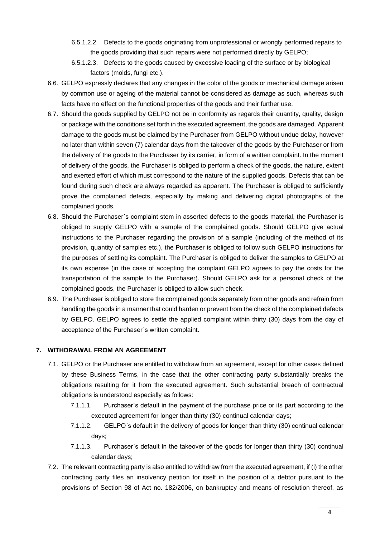- 6.5.1.2.2. Defects to the goods originating from unprofessional or wrongly performed repairs to the goods providing that such repairs were not performed directly by GELPO;
- 6.5.1.2.3. Defects to the goods caused by excessive loading of the surface or by biological factors (molds, fungi etc.).
- 6.6. GELPO expressly declares that any changes in the color of the goods or mechanical damage arisen by common use or ageing of the material cannot be considered as damage as such, whereas such facts have no effect on the functional properties of the goods and their further use.
- 6.7. Should the goods supplied by GELPO not be in conformity as regards their quantity, quality, design or package with the conditions set forth in the executed agreement, the goods are damaged. Apparent damage to the goods must be claimed by the Purchaser from GELPO without undue delay, however no later than within seven (7) calendar days from the takeover of the goods by the Purchaser or from the delivery of the goods to the Purchaser by its carrier, in form of a written complaint. In the moment of delivery of the goods, the Purchaser is obliged to perform a check of the goods, the nature, extent and exerted effort of which must correspond to the nature of the supplied goods. Defects that can be found during such check are always regarded as apparent. The Purchaser is obliged to sufficiently prove the complained defects, especially by making and delivering digital photographs of the complained goods.
- 6.8. Should the Purchaser´s complaint stem in asserted defects to the goods material, the Purchaser is obliged to supply GELPO with a sample of the complained goods. Should GELPO give actual instructions to the Purchaser regarding the provision of a sample (including of the method of its provision, quantity of samples etc.), the Purchaser is obliged to follow such GELPO instructions for the purposes of settling its complaint. The Purchaser is obliged to deliver the samples to GELPO at its own expense (in the case of accepting the complaint GELPO agrees to pay the costs for the transportation of the sample to the Purchaser). Should GELPO ask for a personal check of the complained goods, the Purchaser is obliged to allow such check.
- 6.9. The Purchaser is obliged to store the complained goods separately from other goods and refrain from handling the goods in a manner that could harden or prevent from the check of the complained defects by GELPO. GELPO agrees to settle the applied complaint within thirty (30) days from the day of acceptance of the Purchaser´s written complaint.

#### **7. WITHDRAWAL FROM AN AGREEMENT**

- 7.1. GELPO or the Purchaser are entitled to withdraw from an agreement, except for other cases defined by these Business Terms, in the case that the other contracting party substantially breaks the obligations resulting for it from the executed agreement. Such substantial breach of contractual obligations is understood especially as follows:
	- 7.1.1.1. Purchaser´s default in the payment of the purchase price or its part according to the executed agreement for longer than thirty (30) continual calendar days;
	- 7.1.1.2. GELPO´s default in the delivery of goods for longer than thirty (30) continual calendar days;
	- 7.1.1.3. Purchaser´s default in the takeover of the goods for longer than thirty (30) continual calendar days;
- 7.2. The relevant contracting party is also entitled to withdraw from the executed agreement, if (i) the other contracting party files an insolvency petition for itself in the position of a debtor pursuant to the provisions of Section 98 of Act no. 182/2006, on bankruptcy and means of resolution thereof, as